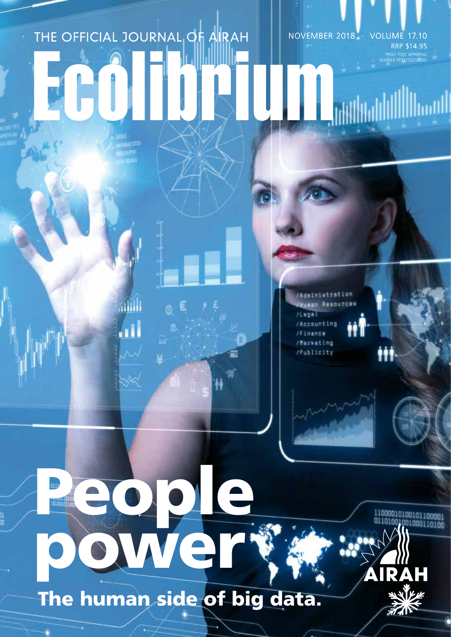# THE OFFICIAL JOURNAL OF AIRAH NOVEMBER 2018 · VOLUME 17.10 RRP \$14.95 PRINT POST APPROVAL NUMBER PP352532/00001 Ecolibrium

Adainistration AHuman Resources  $1$ Legal Accounting /Finance /Marketing /Publicity

power The human side of big data.

People Reserved

ahaal

W

11000010100101100001 001000110100